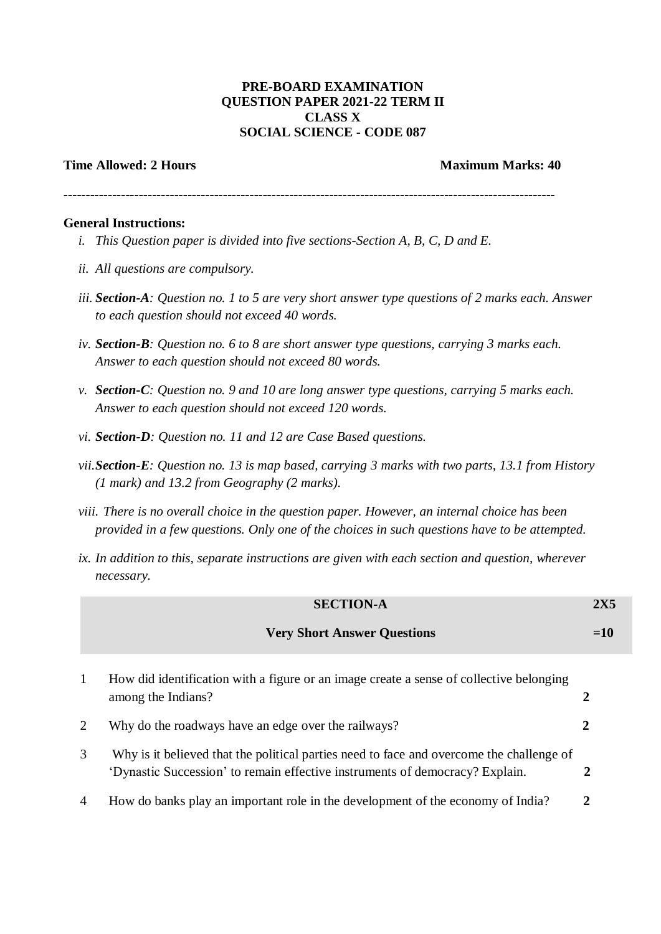## **PRE-BOARD EXAMINATION QUESTION PAPER 2021-22 TERM II CLASS X SOCIAL SCIENCE - CODE 087**

## **Time Allowed: 2 Hours Maximum Marks: 40**

**---------------------------------------------------------------------------------------------------------------**

## **General Instructions:**

- *i. This Question paper is divided into five sections-Section A, B, C, D and E.*
- *ii. All questions are compulsory.*
- *iii. Section-A: Question no. 1 to 5 are very short answer type questions of 2 marks each. Answer to each question should not exceed 40 words.*
- *iv. Section-B: Question no. 6 to 8 are short answer type questions, carrying 3 marks each. Answer to each question should not exceed 80 words.*
- *v. Section-C: Question no. 9 and 10 are long answer type questions, carrying 5 marks each. Answer to each question should not exceed 120 words.*
- *vi. Section-D: Question no. 11 and 12 are Case Based questions.*
- *vii.Section-E: Question no. 13 is map based, carrying 3 marks with two parts, 13.1 from History (1 mark) and 13.2 from Geography (2 marks).*
- *viii. There is no overall choice in the question paper. However, an internal choice has been provided in a few questions. Only one of the choices in such questions have to be attempted.*
- *ix. In addition to this, separate instructions are given with each section and question, wherever necessary.*

|                | <b>SECTION-A</b>                                                                                                                                                         |       |
|----------------|--------------------------------------------------------------------------------------------------------------------------------------------------------------------------|-------|
|                | <b>Very Short Answer Questions</b>                                                                                                                                       | $=10$ |
| 1              | How did identification with a figure or an image create a sense of collective belonging<br>among the Indians?                                                            | 2     |
| 2              | Why do the roadways have an edge over the railways?                                                                                                                      | 2     |
| 3              | Why is it believed that the political parties need to face and overcome the challenge of<br>'Dynastic Succession' to remain effective instruments of democracy? Explain. | 2     |
| $\overline{4}$ | How do banks play an important role in the development of the economy of India?                                                                                          | 2     |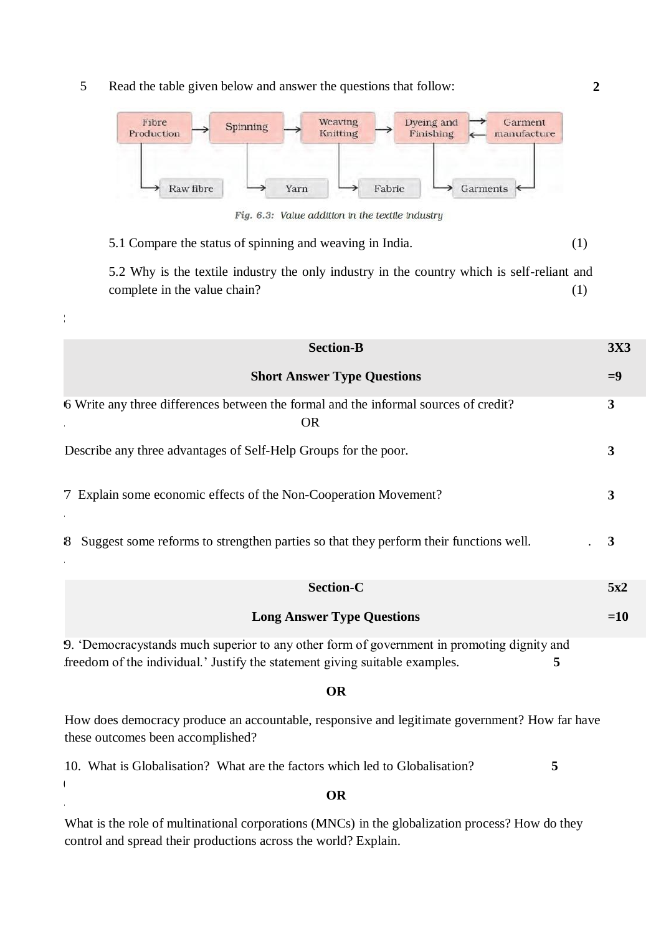5 Read the table given below and answer the questions that follow:

S



Fig. 6.3: Value addition in the textile industry

5.1 Compare the status of spinning and weaving in India. (1)

5.2 Why is the textile industry the only industry in the country which is self-reliant and complete in the value chain? (1)

| <b>Section-B</b>                                                                                                                                                               | <b>3X3</b> |  |  |  |
|--------------------------------------------------------------------------------------------------------------------------------------------------------------------------------|------------|--|--|--|
| <b>Short Answer Type Questions</b>                                                                                                                                             | $=9$       |  |  |  |
| 6 Write any three differences between the formal and the informal sources of credit?<br><b>OR</b>                                                                              | 3          |  |  |  |
| Describe any three advantages of Self-Help Groups for the poor.                                                                                                                | 3          |  |  |  |
| 7 Explain some economic effects of the Non-Cooperation Movement?                                                                                                               | 3          |  |  |  |
| Suggest some reforms to strengthen parties so that they perform their functions well.<br>8                                                                                     | 3          |  |  |  |
| <b>Section-C</b>                                                                                                                                                               | 5x2        |  |  |  |
| <b>Long Answer Type Questions</b>                                                                                                                                              | $=10$      |  |  |  |
| 9. 'Democracystands much superior to any other form of government in promoting dignity and<br>freedom of the individual.' Justify the statement giving suitable examples.<br>5 |            |  |  |  |
| <b>OR</b>                                                                                                                                                                      |            |  |  |  |
| How does democracy produce an accountable, responsive and legitimate government? How far have<br>these outcomes been accomplished?                                             |            |  |  |  |
| 10. What is Globalisation? What are the factors which led to Globalisation?<br>5                                                                                               |            |  |  |  |
|                                                                                                                                                                                |            |  |  |  |

What is the role of multinational corporations (MNCs) in the globalization process? How do they control and spread their productions across the world? Explain.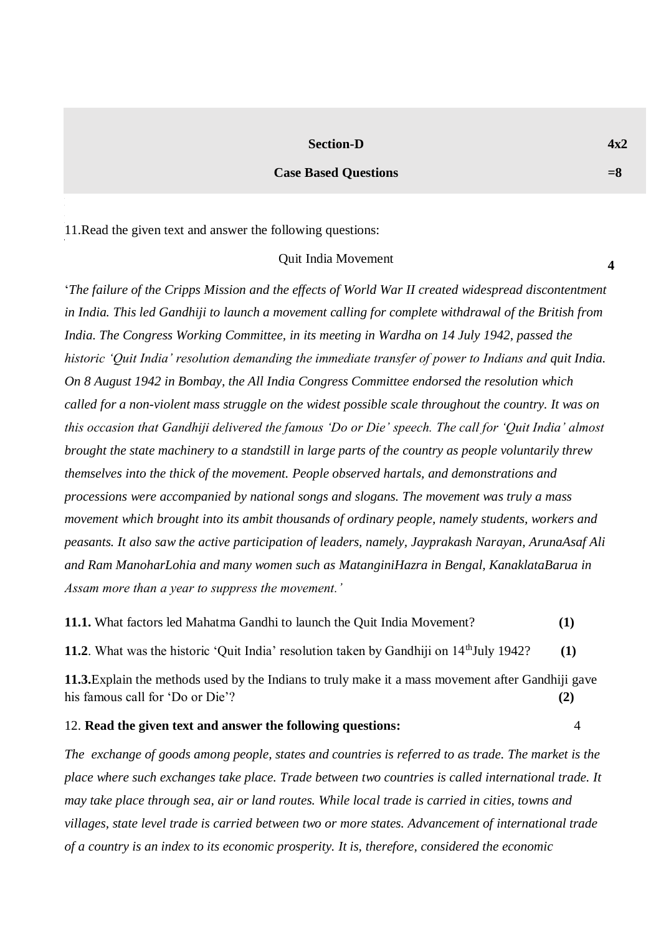#### **Section-D**

### **Case Based Questions**

1 . 11.Read the given text and answer the following questions:

#### Quit India Movement

'*The failure of the Cripps Mission and the effects of World War II created widespread discontentment in India. This led Gandhiji to launch a movement calling for complete withdrawal of the British from India. The Congress Working Committee, in its meeting in Wardha on 14 July 1942, passed the historic 'Quit India' resolution demanding the immediate transfer of power to Indians and quit India. On 8 August 1942 in Bombay, the All India Congress Committee endorsed the resolution which called for a non-violent mass struggle on the widest possible scale throughout the country. It was on this occasion that Gandhiji delivered the famous 'Do or Die' speech. The call for 'Quit India' almost brought the state machinery to a standstill in large parts of the country as people voluntarily threw themselves into the thick of the movement. People observed hartals, and demonstrations and processions were accompanied by national songs and slogans. The movement was truly a mass movement which brought into its ambit thousands of ordinary people, namely students, workers and peasants. It also saw the active participation of leaders, namely, Jayprakash Narayan, ArunaAsaf Ali and Ram ManoharLohia and many women such as MatanginiHazra in Bengal, KanaklataBarua in Assam more than a year to suppress the movement.'* 

**11.1.** What factors led Mahatma Gandhi to launch the Quit India Movement? **(1) 11.2**. What was the historic 'Quit India' resolution taken by Gandhiji on 14<sup>th</sup>July 1942? (1) **11.3.**Explain the methods used by the Indians to truly make it a mass movement after Gandhiji gave his famous call for 'Do or Die'? **(2)** 

## 12. **Read the given text and answer the following questions:** 4

*The exchange of goods among people, states and countries is referred to as trade. The market is the place where such exchanges take place. Trade between two countries is called international trade. It may take place through sea, air or land routes. While local trade is carried in cities, towns and villages, state level trade is carried between two or more states. Advancement of international trade of a country is an index to its economic prosperity. It is, therefore, considered the economic* 

**4**

**=8**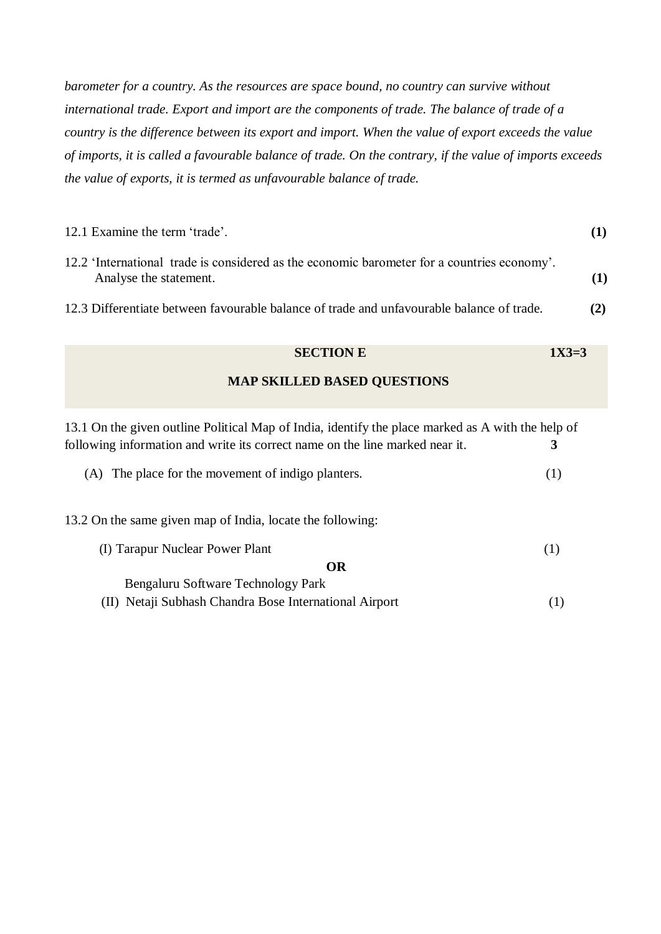*barometer for a country. As the resources are space bound, no country can survive without international trade. Export and import are the components of trade. The balance of trade of a country is the difference between its export and import. When the value of export exceeds the value of imports, it is called a favourable balance of trade. On the contrary, if the value of imports exceeds the value of exports, it is termed as unfavourable balance of trade.*

| 12.1 Examine the term 'trade'.                                                                                        |  |
|-----------------------------------------------------------------------------------------------------------------------|--|
| 12.2 'International trade is considered as the economic barometer for a countries economy'.<br>Analyse the statement. |  |
| 12.3 Differentiate between favourable balance of trade and unfavourable balance of trade.                             |  |

# **SECTION E** 1X3=3

## **MAP SKILLED BASED QUESTIONS**

| 13.1 On the given outline Political Map of India, identify the place marked as A with the help of |     |
|---------------------------------------------------------------------------------------------------|-----|
| following information and write its correct name on the line marked near it.                      | 3   |
| (A) The place for the movement of indigo planters.                                                | (1) |
| 13.2 On the same given map of India, locate the following:                                        |     |
| (I) Tarapur Nuclear Power Plant                                                                   | (1) |
| <b>OR</b>                                                                                         |     |
| Bengaluru Software Technology Park                                                                |     |
| (II) Netaji Subhash Chandra Bose International Airport                                            |     |